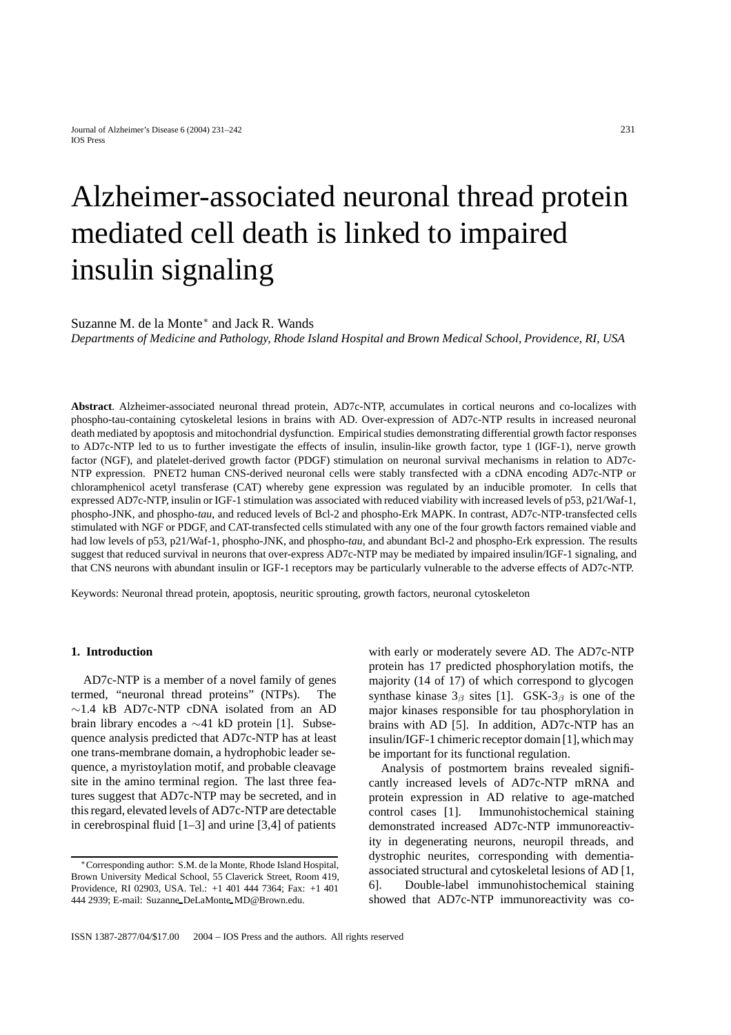# Alzheimer-associated neuronal thread protein mediated cell death is linked to impaired insulin signaling

# Suzanne M. de la Monte∗ and Jack R. Wands

*Departments of Medicine and Pathology, Rhode Island Hospital and Brown Medical School, Providence, RI, USA*

**Abstract**. Alzheimer-associated neuronal thread protein, AD7c-NTP, accumulates in cortical neurons and co-localizes with phospho-tau-containing cytoskeletal lesions in brains with AD. Over-expression of AD7c-NTP results in increased neuronal death mediated by apoptosis and mitochondrial dysfunction. Empirical studies demonstrating differential growth factor responses to AD7c-NTP led to us to further investigate the effects of insulin, insulin-like growth factor, type 1 (IGF-1), nerve growth factor (NGF), and platelet-derived growth factor (PDGF) stimulation on neuronal survival mechanisms in relation to AD7c-NTP expression. PNET2 human CNS-derived neuronal cells were stably transfected with a cDNA encoding AD7c-NTP or chloramphenicol acetyl transferase (CAT) whereby gene expression was regulated by an inducible promoter. In cells that expressed AD7c-NTP, insulin or IGF-1 stimulation was associated with reduced viability with increased levels of p53, p21/Waf-1, phospho-JNK, and phospho-*tau*, and reduced levels of Bcl-2 and phospho-Erk MAPK. In contrast, AD7c-NTP-transfected cells stimulated with NGF or PDGF, and CAT-transfected cells stimulated with any one of the four growth factors remained viable and had low levels of p53, p21/Waf-1, phospho-JNK, and phospho-*tau*, and abundant Bcl-2 and phospho-Erk expression. The results suggest that reduced survival in neurons that over-express AD7c-NTP may be mediated by impaired insulin/IGF-1 signaling, and that CNS neurons with abundant insulin or IGF-1 receptors may be particularly vulnerable to the adverse effects of AD7c-NTP.

Keywords: Neuronal thread protein, apoptosis, neuritic sprouting, growth factors, neuronal cytoskeleton

#### **1. Introduction**

AD7c-NTP is a member of a novel family of genes termed, "neuronal thread proteins" (NTPs). The ∼1.4 kB AD7c-NTP cDNA isolated from an AD brain library encodes a ∼41 kD protein [1]. Subsequence analysis predicted that AD7c-NTP has at least one trans-membrane domain, a hydrophobic leader sequence, a myristoylation motif, and probable cleavage site in the amino terminal region. The last three features suggest that AD7c-NTP may be secreted, and in this regard, elevated levels of AD7c-NTP are detectable in cerebrospinal fluid [1–3] and urine [3,4] of patients

with early or moderately severe AD. The AD7c-NTP protein has 17 predicted phosphorylation motifs, the majority (14 of 17) of which correspond to glycogen synthase kinase  $3_\beta$  sites [1]. GSK- $3_\beta$  is one of the major kinases responsible for tau phosphorylation in brains with AD [5]. In addition, AD7c-NTP has an insulin/IGF-1 chimeric receptor domain [1], which may be important for its functional regulation.

Analysis of postmortem brains revealed significantly increased levels of AD7c-NTP mRNA and protein expression in AD relative to age-matched control cases [1]. Immunohistochemical staining demonstrated increased AD7c-NTP immunoreactivity in degenerating neurons, neuropil threads, and dystrophic neurites, corresponding with dementiaassociated structural and cytoskeletal lesions of AD [1, 6]. Double-label immunohistochemical staining showed that AD7c-NTP immunoreactivity was co-

<sup>∗</sup>Corresponding author: S.M. de la Monte, Rhode Island Hospital, Brown University Medical School, 55 Claverick Street, Room 419, Providence, RI 02903, USA. Tel.: +1 401 444 7364; Fax: +1 401 444 2939; E-mail: Suzanne DeLaMonte MD@Brown.edu.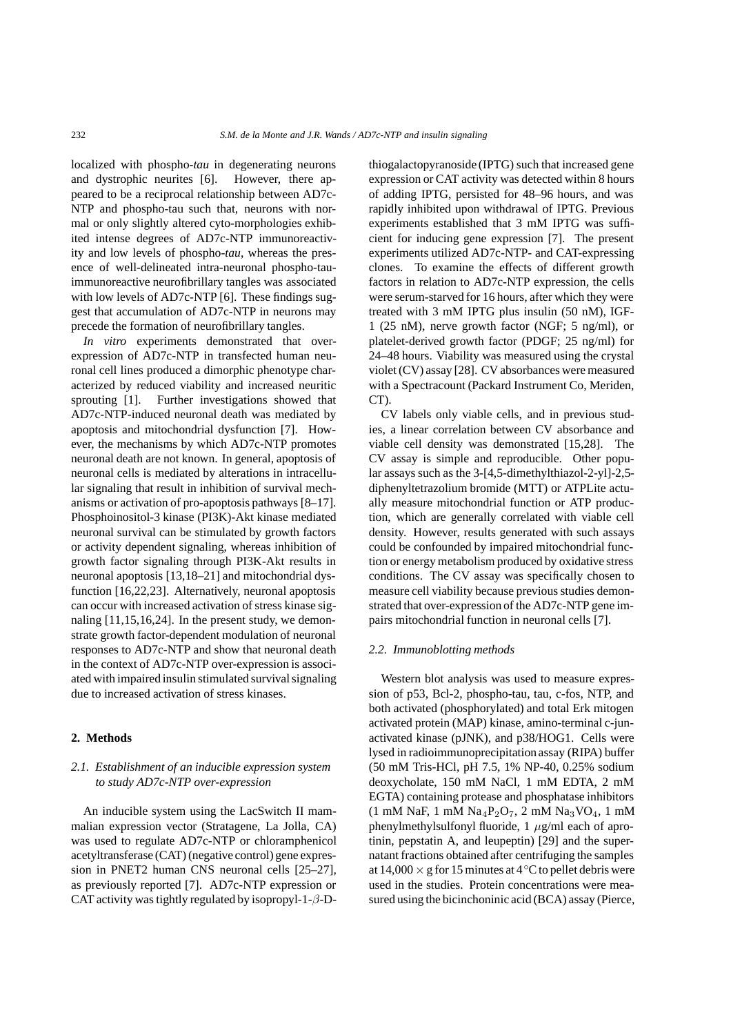localized with phospho-*tau* in degenerating neurons and dystrophic neurites [6]. However, there appeared to be a reciprocal relationship between AD7c-NTP and phospho-tau such that, neurons with normal or only slightly altered cyto-morphologies exhibited intense degrees of AD7c-NTP immunoreactivity and low levels of phospho-*tau*, whereas the presence of well-delineated intra-neuronal phospho-tauimmunoreactive neurofibrillary tangles was associated with low levels of AD7c-NTP [6]. These findings suggest that accumulation of AD7c-NTP in neurons may precede the formation of neurofibrillary tangles.

*In vitro* experiments demonstrated that overexpression of AD7c-NTP in transfected human neuronal cell lines produced a dimorphic phenotype characterized by reduced viability and increased neuritic sprouting [1]. Further investigations showed that AD7c-NTP-induced neuronal death was mediated by apoptosis and mitochondrial dysfunction [7]. However, the mechanisms by which AD7c-NTP promotes neuronal death are not known. In general, apoptosis of neuronal cells is mediated by alterations in intracellular signaling that result in inhibition of survival mechanisms or activation of pro-apoptosis pathways [8–17]. Phosphoinositol-3 kinase (PI3K)-Akt kinase mediated neuronal survival can be stimulated by growth factors or activity dependent signaling, whereas inhibition of growth factor signaling through PI3K-Akt results in neuronal apoptosis [13,18–21] and mitochondrial dysfunction [16,22,23]. Alternatively, neuronal apoptosis can occur with increased activation of stress kinase signaling [11,15,16,24]. In the present study, we demonstrate growth factor-dependent modulation of neuronal responses to AD7c-NTP and show that neuronal death in the context of AD7c-NTP over-expression is associated with impaired insulin stimulated survival signaling due to increased activation of stress kinases.

#### **2. Methods**

# *2.1. Establishment of an inducible expression system to study AD7c-NTP over-expression*

An inducible system using the LacSwitch II mammalian expression vector (Stratagene, La Jolla, CA) was used to regulate AD7c-NTP or chloramphenicol acetyltransferase (CAT) (negative control) gene expression in PNET2 human CNS neuronal cells [25–27], as previously reported [7]. AD7c-NTP expression or CAT activity was tightly regulated by isopropyl-1- $\beta$ -D-

thiogalactopyranoside (IPTG) such that increased gene expression or CAT activity was detected within 8 hours of adding IPTG, persisted for 48–96 hours, and was rapidly inhibited upon withdrawal of IPTG. Previous experiments established that 3 mM IPTG was sufficient for inducing gene expression [7]. The present experiments utilized AD7c-NTP- and CAT-expressing clones. To examine the effects of different growth factors in relation to AD7c-NTP expression, the cells were serum-starved for 16 hours, after which they were treated with 3 mM IPTG plus insulin (50 nM), IGF-1 (25 nM), nerve growth factor (NGF; 5 ng/ml), or platelet-derived growth factor (PDGF; 25 ng/ml) for 24–48 hours. Viability was measured using the crystal violet (CV) assay [28]. CV absorbances were measured with a Spectracount (Packard Instrument Co, Meriden, CT).

CV labels only viable cells, and in previous studies, a linear correlation between CV absorbance and viable cell density was demonstrated [15,28]. The CV assay is simple and reproducible. Other popular assays such as the 3-[4,5-dimethylthiazol-2-yl]-2,5 diphenyltetrazolium bromide (MTT) or ATPLite actually measure mitochondrial function or ATP production, which are generally correlated with viable cell density. However, results generated with such assays could be confounded by impaired mitochondrial function or energy metabolism produced by oxidative stress conditions. The CV assay was specifically chosen to measure cell viability because previous studies demonstrated that over-expression of the AD7c-NTP gene impairs mitochondrial function in neuronal cells [7].

#### *2.2. Immunoblotting methods*

Western blot analysis was used to measure expression of p53, Bcl-2, phospho-tau, tau, c-fos, NTP, and both activated (phosphorylated) and total Erk mitogen activated protein (MAP) kinase, amino-terminal c-junactivated kinase (pJNK), and p38/HOG1. Cells were lysed in radioimmunoprecipitation assay (RIPA) buffer (50 mM Tris-HCl, pH 7.5, 1% NP-40, 0.25% sodium deoxycholate, 150 mM NaCl, 1 mM EDTA, 2 mM EGTA) containing protease and phosphatase inhibitors  $(1 \text{ mM NaF}, 1 \text{ mM Na}_4P_2O_7, 2 \text{ mM Na}_3VO_4, 1 \text{ mM}$ phenylmethylsulfonyl fluoride,  $1 \mu g/ml$  each of aprotinin, pepstatin A, and leupeptin) [29] and the supernatant fractions obtained after centrifuging the samples at  $14,000 \times$  g for 15 minutes at 4 °C to pellet debris were used in the studies. Protein concentrations were measured using the bicinchoninic acid (BCA) assay (Pierce,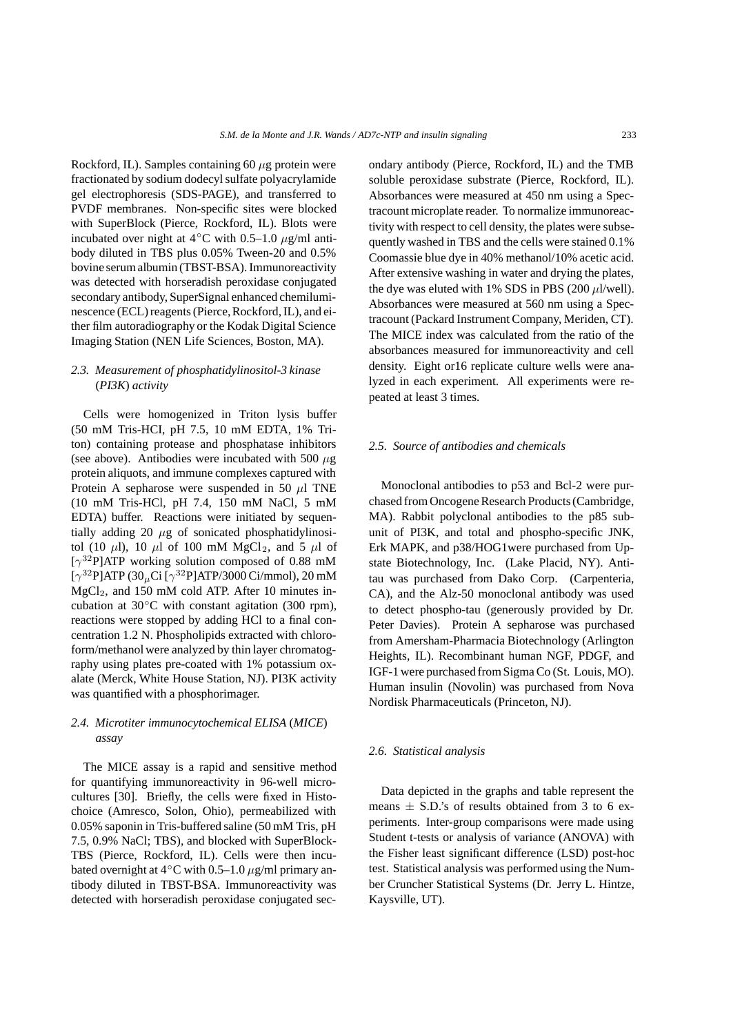Rockford, IL). Samples containing 60  $\mu$ g protein were fractionated by sodium dodecyl sulfate polyacrylamide gel electrophoresis (SDS-PAGE), and transferred to PVDF membranes. Non-specific sites were blocked with SuperBlock (Pierce, Rockford, IL). Blots were incubated over night at  $4°C$  with 0.5–1.0  $\mu$ g/ml antibody diluted in TBS plus 0.05% Tween-20 and 0.5% bovine serum albumin (TBST-BSA). Immunoreactivity was detected with horseradish peroxidase conjugated secondary antibody, SuperSignal enhanced chemiluminescence (ECL) reagents (Pierce,Rockford, IL), and either film autoradiography or the Kodak Digital Science Imaging Station (NEN Life Sciences, Boston, MA).

## *2.3. Measurement of phosphatidylinositol-3 kinase* (*PI3K*) *activity*

Cells were homogenized in Triton lysis buffer (50 mM Tris-HCI, pH 7.5, 10 mM EDTA, 1% Triton) containing protease and phosphatase inhibitors (see above). Antibodies were incubated with 500  $\mu$ g protein aliquots, and immune complexes captured with Protein A sepharose were suspended in 50  $\mu$ l TNE (10 mM Tris-HCl, pH 7.4, 150 mM NaCl, 5 mM EDTA) buffer. Reactions were initiated by sequentially adding 20  $\mu$ g of sonicated phosphatidylinositol (10  $\mu$ l), 10  $\mu$ l of 100 mM MgCl<sub>2</sub>, and 5  $\mu$ l of  $[\gamma^{32}P]$ ATP working solution composed of 0.88 mM  $[\gamma^{32}P]ATP (30<sub>u</sub>Ci [\gamma^{32}P]ATP/3000 Ci/mmol), 20 mM$  $MgCl<sub>2</sub>$ , and 150 mM cold ATP. After 10 minutes incubation at  $30^{\circ}$ C with constant agitation (300 rpm), reactions were stopped by adding HCl to a final concentration 1.2 N. Phospholipids extracted with chloroform/methanol were analyzed by thin layer chromatography using plates pre-coated with 1% potassium oxalate (Merck, White House Station, NJ). PI3K activity was quantified with a phosphorimager.

## *2.4. Microtiter immunocytochemical ELISA* (*MICE*) *assay*

The MICE assay is a rapid and sensitive method for quantifying immunoreactivity in 96-well microcultures [30]. Briefly, the cells were fixed in Histochoice (Amresco, Solon, Ohio), permeabilized with 0.05% saponin in Tris-buffered saline (50 mM Tris, pH 7.5, 0.9% NaCl; TBS), and blocked with SuperBlock-TBS (Pierce, Rockford, IL). Cells were then incubated overnight at  $4°C$  with 0.5–1.0  $\mu$ g/ml primary antibody diluted in TBST-BSA. Immunoreactivity was detected with horseradish peroxidase conjugated secondary antibody (Pierce, Rockford, IL) and the TMB soluble peroxidase substrate (Pierce, Rockford, IL). Absorbances were measured at 450 nm using a Spectracount microplate reader. To normalize immunoreactivity with respect to cell density, the plates were subsequently washed in TBS and the cells were stained 0.1% Coomassie blue dye in 40% methanol/10% acetic acid. After extensive washing in water and drying the plates, the dye was eluted with 1% SDS in PBS (200  $\mu$ l/well). Absorbances were measured at 560 nm using a Spectracount (Packard Instrument Company, Meriden, CT). The MICE index was calculated from the ratio of the absorbances measured for immunoreactivity and cell density. Eight or16 replicate culture wells were analyzed in each experiment. All experiments were repeated at least 3 times.

#### *2.5. Source of antibodies and chemicals*

Monoclonal antibodies to p53 and Bcl-2 were purchased from Oncogene Research Products (Cambridge, MA). Rabbit polyclonal antibodies to the p85 subunit of PI3K, and total and phospho-specific JNK, Erk MAPK, and p38/HOG1were purchased from Upstate Biotechnology, Inc. (Lake Placid, NY). Antitau was purchased from Dako Corp. (Carpenteria, CA), and the Alz-50 monoclonal antibody was used to detect phospho-tau (generously provided by Dr. Peter Davies). Protein A sepharose was purchased from Amersham-Pharmacia Biotechnology (Arlington Heights, IL). Recombinant human NGF, PDGF, and IGF-1 were purchased from Sigma Co (St. Louis, MO). Human insulin (Novolin) was purchased from Nova Nordisk Pharmaceuticals (Princeton, NJ).

## *2.6. Statistical analysis*

Data depicted in the graphs and table represent the means  $\pm$  S.D.'s of results obtained from 3 to 6 experiments. Inter-group comparisons were made using Student t-tests or analysis of variance (ANOVA) with the Fisher least significant difference (LSD) post-hoc test. Statistical analysis was performed using the Number Cruncher Statistical Systems (Dr. Jerry L. Hintze, Kaysville, UT).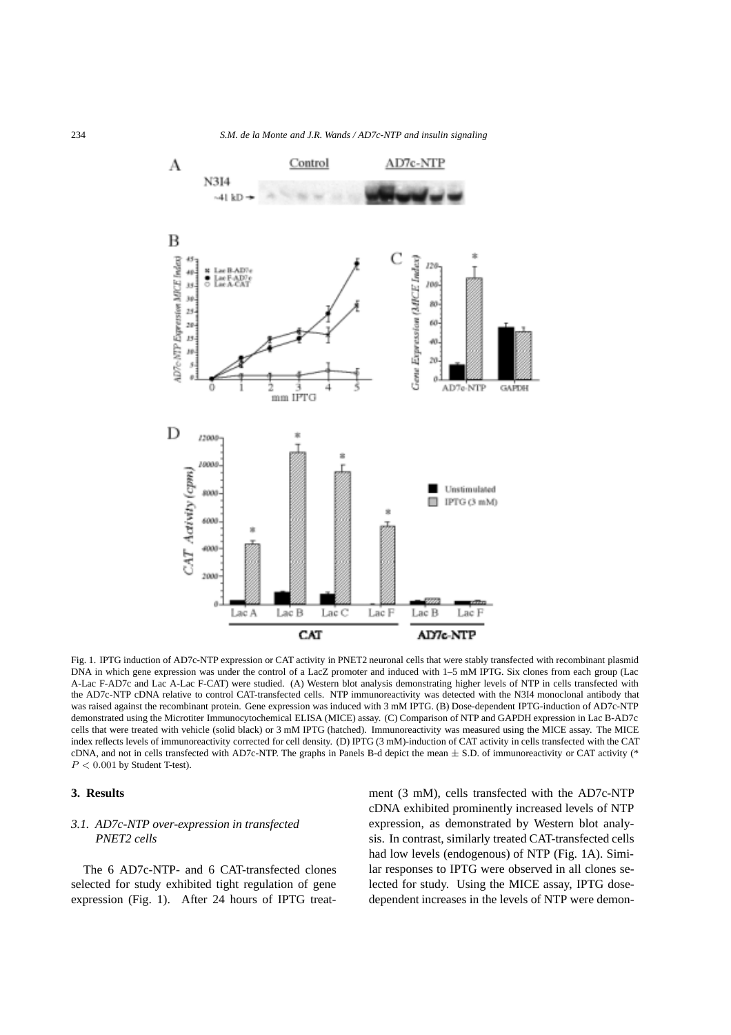

Fig. 1. IPTG induction of AD7c-NTP expression or CAT activity in PNET2 neuronal cells that were stably transfected with recombinant plasmid DNA in which gene expression was under the control of a LacZ promoter and induced with 1–5 mM IPTG. Six clones from each group (Lac A-Lac F-AD7c and Lac A-Lac F-CAT) were studied. (A) Western blot analysis demonstrating higher levels of NTP in cells transfected with the AD7c-NTP cDNA relative to control CAT-transfected cells. NTP immunoreactivity was detected with the N3I4 monoclonal antibody that was raised against the recombinant protein. Gene expression was induced with 3 mM IPTG. (B) Dose-dependent IPTG-induction of AD7c-NTP demonstrated using the Microtiter Immunocytochemical ELISA (MICE) assay. (C) Comparison of NTP and GAPDH expression in Lac B-AD7c cells that were treated with vehicle (solid black) or 3 mM IPTG (hatched). Immunoreactivity was measured using the MICE assay. The MICE index reflects levels of immunoreactivity corrected for cell density. (D) IPTG (3 mM)-induction of CAT activity in cells transfected with the CAT cDNA, and not in cells transfected with AD7c-NTP. The graphs in Panels B-d depict the mean  $\pm$  S.D. of immunoreactivity or CAT activity (\*  $P < 0.001$  by Student T-test).

#### **3. Results**

## *3.1. AD7c-NTP over-expression in transfected PNET2 cells*

The 6 AD7c-NTP- and 6 CAT-transfected clones selected for study exhibited tight regulation of gene expression (Fig. 1). After 24 hours of IPTG treatment (3 mM), cells transfected with the AD7c-NTP cDNA exhibited prominently increased levels of NTP expression, as demonstrated by Western blot analysis. In contrast, similarly treated CAT-transfected cells had low levels (endogenous) of NTP (Fig. 1A). Similar responses to IPTG were observed in all clones selected for study. Using the MICE assay, IPTG dosedependent increases in the levels of NTP were demon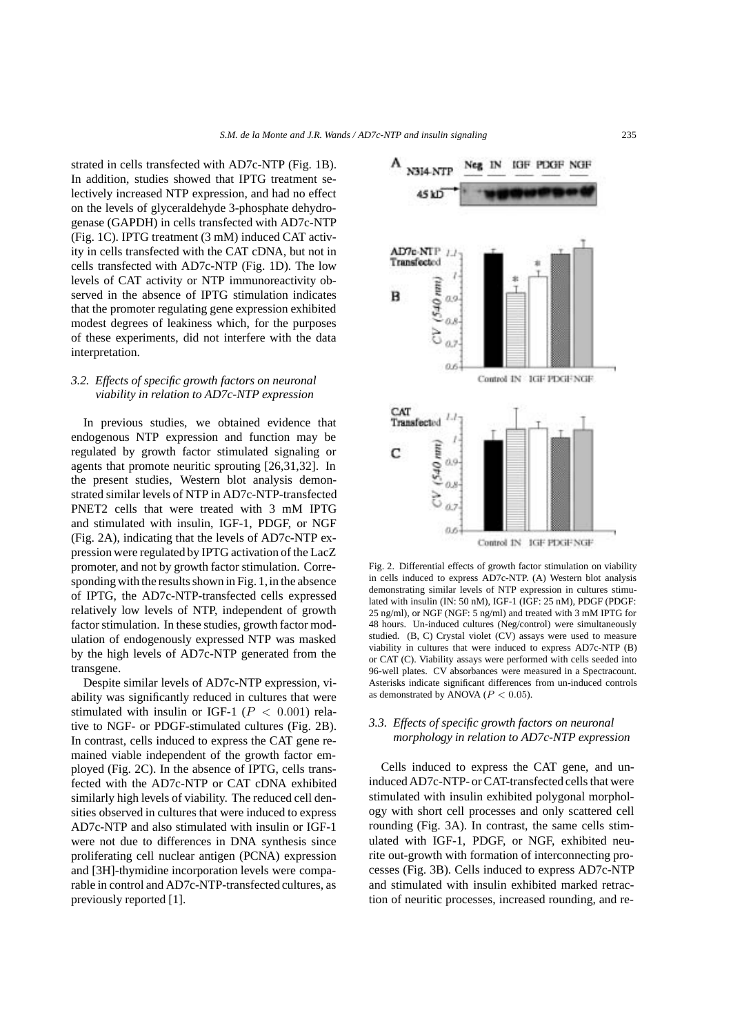strated in cells transfected with AD7c-NTP (Fig. 1B). In addition, studies showed that IPTG treatment selectively increased NTP expression, and had no effect on the levels of glyceraldehyde 3-phosphate dehydrogenase (GAPDH) in cells transfected with AD7c-NTP (Fig. 1C). IPTG treatment (3 mM) induced CAT activity in cells transfected with the CAT cDNA, but not in cells transfected with AD7c-NTP (Fig. 1D). The low levels of CAT activity or NTP immunoreactivity observed in the absence of IPTG stimulation indicates that the promoter regulating gene expression exhibited modest degrees of leakiness which, for the purposes of these experiments, did not interfere with the data interpretation.

## *3.2. Effects of specific growth factors on neuronal viability in relation to AD7c-NTP expression*

In previous studies, we obtained evidence that endogenous NTP expression and function may be regulated by growth factor stimulated signaling or agents that promote neuritic sprouting [26,31,32]. In the present studies, Western blot analysis demonstrated similar levels of NTP in AD7c-NTP-transfected PNET2 cells that were treated with 3 mM IPTG and stimulated with insulin, IGF-1, PDGF, or NGF (Fig. 2A), indicating that the levels of AD7c-NTP expression were regulated by IPTG activation of the LacZ promoter, and not by growth factor stimulation. Corresponding with the results shown in Fig. 1, in the absence of IPTG, the AD7c-NTP-transfected cells expressed relatively low levels of NTP, independent of growth factor stimulation. In these studies, growth factor modulation of endogenously expressed NTP was masked by the high levels of AD7c-NTP generated from the transgene.

Despite similar levels of AD7c-NTP expression, viability was significantly reduced in cultures that were stimulated with insulin or IGF-1 ( $P < 0.001$ ) relative to NGF- or PDGF-stimulated cultures (Fig. 2B). In contrast, cells induced to express the CAT gene remained viable independent of the growth factor employed (Fig. 2C). In the absence of IPTG, cells transfected with the AD7c-NTP or CAT cDNA exhibited similarly high levels of viability. The reduced cell densities observed in cultures that were induced to express AD7c-NTP and also stimulated with insulin or IGF-1 were not due to differences in DNA synthesis since proliferating cell nuclear antigen (PCNA) expression and [3H]-thymidine incorporation levels were comparable in control and AD7c-NTP-transfected cultures, as previously reported [1].



Fig. 2. Differential effects of growth factor stimulation on viability in cells induced to express AD7c-NTP. (A) Western blot analysis demonstrating similar levels of NTP expression in cultures stimulated with insulin (IN: 50 nM), IGF-1 (IGF: 25 nM), PDGF (PDGF: 25 ng/ml), or NGF (NGF: 5 ng/ml) and treated with 3 mM IPTG for 48 hours. Un-induced cultures (Neg/control) were simultaneously studied. (B, C) Crystal violet (CV) assays were used to measure viability in cultures that were induced to express AD7c-NTP (B) or CAT (C). Viability assays were performed with cells seeded into 96-well plates. CV absorbances were measured in a Spectracount. Asterisks indicate significant differences from un-induced controls as demonstrated by ANOVA ( $P < 0.05$ ).

#### *3.3. Effects of specific growth factors on neuronal morphology in relation to AD7c-NTP expression*

Cells induced to express the CAT gene, and uninduced AD7c-NTP- or CAT-transfected cells that were stimulated with insulin exhibited polygonal morphology with short cell processes and only scattered cell rounding (Fig. 3A). In contrast, the same cells stimulated with IGF-1, PDGF, or NGF, exhibited neurite out-growth with formation of interconnecting processes (Fig. 3B). Cells induced to express AD7c-NTP and stimulated with insulin exhibited marked retraction of neuritic processes, increased rounding, and re-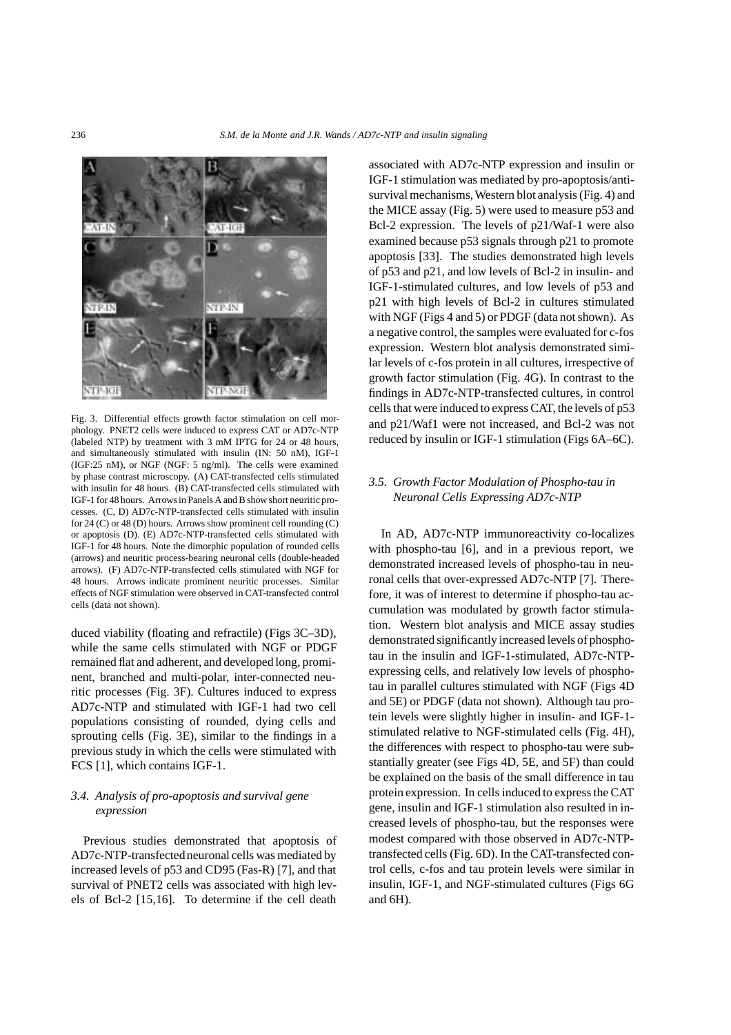

Fig. 3. Differential effects growth factor stimulation on cell morphology. PNET2 cells were induced to express CAT or AD7c-NTP (labeled NTP) by treatment with 3 mM IPTG for 24 or 48 hours, and simultaneously stimulated with insulin (IN: 50 nM), IGF-1 (IGF:25 nM), or NGF (NGF: 5 ng/ml). The cells were examined by phase contrast microscopy. (A) CAT-transfected cells stimulated with insulin for 48 hours. (B) CAT-transfected cells stimulated with IGF-1 for 48 hours. Arrows in Panels A and B show short neuritic processes. (C, D) AD7c-NTP-transfected cells stimulated with insulin for 24 (C) or 48 (D) hours. Arrows show prominent cell rounding (C) or apoptosis (D). (E) AD7c-NTP-transfected cells stimulated with IGF-1 for 48 hours. Note the dimorphic population of rounded cells (arrows) and neuritic process-bearing neuronal cells (double-headed arrows). (F) AD7c-NTP-transfected cells stimulated with NGF for 48 hours. Arrows indicate prominent neuritic processes. Similar effects of NGF stimulation were observed in CAT-transfected control cells (data not shown).

duced viability (floating and refractile) (Figs 3C–3D), while the same cells stimulated with NGF or PDGF remained flat and adherent, and developed long, prominent, branched and multi-polar, inter-connected neuritic processes (Fig. 3F). Cultures induced to express AD7c-NTP and stimulated with IGF-1 had two cell populations consisting of rounded, dying cells and sprouting cells (Fig. 3E), similar to the findings in a previous study in which the cells were stimulated with FCS [1], which contains IGF-1.

# *3.4. Analysis of pro-apoptosis and survival gene expression*

Previous studies demonstrated that apoptosis of AD7c-NTP-transfected neuronal cells was mediated by increased levels of p53 and CD95 (Fas-R) [7], and that survival of PNET2 cells was associated with high levels of Bcl-2 [15,16]. To determine if the cell death

associated with AD7c-NTP expression and insulin or IGF-1 stimulation was mediated by pro-apoptosis/antisurvival mechanisms, Western blot analysis (Fig. 4) and the MICE assay (Fig. 5) were used to measure p53 and Bcl-2 expression. The levels of p21/Waf-1 were also examined because p53 signals through p21 to promote apoptosis [33]. The studies demonstrated high levels of p53 and p21, and low levels of Bcl-2 in insulin- and IGF-1-stimulated cultures, and low levels of p53 and p21 with high levels of Bcl-2 in cultures stimulated with NGF (Figs 4 and 5) or PDGF (data not shown). As a negative control, the samples were evaluated for c-fos expression. Western blot analysis demonstrated similar levels of c-fos protein in all cultures, irrespective of growth factor stimulation (Fig. 4G). In contrast to the findings in AD7c-NTP-transfected cultures, in control cells that were induced to express CAT, the levels of p53 and p21/Waf1 were not increased, and Bcl-2 was not reduced by insulin or IGF-1 stimulation (Figs 6A–6C).

# *3.5. Growth Factor Modulation of Phospho-tau in Neuronal Cells Expressing AD7c-NTP*

In AD, AD7c-NTP immunoreactivity co-localizes with phospho-tau [6], and in a previous report, we demonstrated increased levels of phospho-tau in neuronal cells that over-expressed AD7c-NTP [7]. Therefore, it was of interest to determine if phospho-tau accumulation was modulated by growth factor stimulation. Western blot analysis and MICE assay studies demonstrated significantly increased levels of phosphotau in the insulin and IGF-1-stimulated, AD7c-NTPexpressing cells, and relatively low levels of phosphotau in parallel cultures stimulated with NGF (Figs 4D and 5E) or PDGF (data not shown). Although tau protein levels were slightly higher in insulin- and IGF-1 stimulated relative to NGF-stimulated cells (Fig. 4H), the differences with respect to phospho-tau were substantially greater (see Figs 4D, 5E, and 5F) than could be explained on the basis of the small difference in tau protein expression. In cells induced to express the CAT gene, insulin and IGF-1 stimulation also resulted in increased levels of phospho-tau, but the responses were modest compared with those observed in AD7c-NTPtransfected cells (Fig. 6D). In the CAT-transfected control cells, c-fos and tau protein levels were similar in insulin, IGF-1, and NGF-stimulated cultures (Figs 6G and 6H).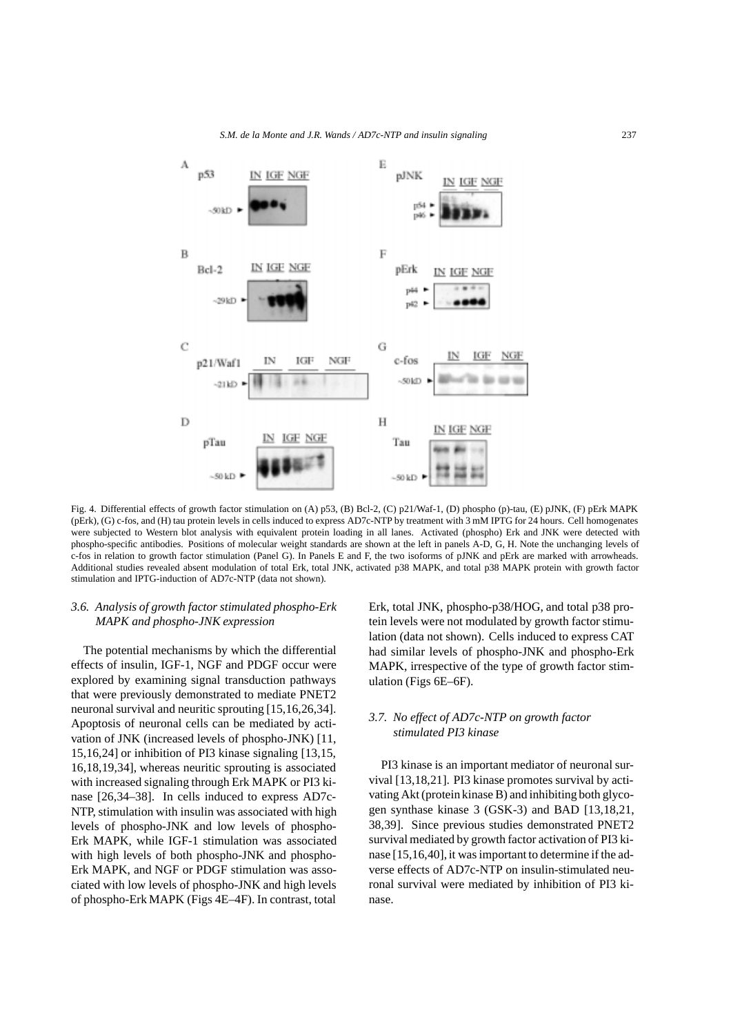#### *S.M. de la Monte and J.R. Wands / AD7c-NTP and insulin signaling* 237



Fig. 4. Differential effects of growth factor stimulation on (A) p53, (B) Bcl-2, (C) p21/Waf-1, (D) phospho (p)-tau, (E) pJNK, (F) pErk MAPK (pErk), (G) c-fos, and (H) tau protein levels in cells induced to express AD7c-NTP by treatment with 3 mM IPTG for 24 hours. Cell homogenates were subjected to Western blot analysis with equivalent protein loading in all lanes. Activated (phospho) Erk and JNK were detected with phospho-specific antibodies. Positions of molecular weight standards are shown at the left in panels A-D, G, H. Note the unchanging levels of c-fos in relation to growth factor stimulation (Panel G). In Panels E and F, the two isoforms of pJNK and pErk are marked with arrowheads. Additional studies revealed absent modulation of total Erk, total JNK, activated p38 MAPK, and total p38 MAPK protein with growth factor stimulation and IPTG-induction of AD7c-NTP (data not shown).

# *3.6. Analysis of growth factor stimulated phospho-Erk MAPK and phospho-JNK expression*

The potential mechanisms by which the differential effects of insulin, IGF-1, NGF and PDGF occur were explored by examining signal transduction pathways that were previously demonstrated to mediate PNET2 neuronal survival and neuritic sprouting [15,16,26,34]. Apoptosis of neuronal cells can be mediated by activation of JNK (increased levels of phospho-JNK) [11, 15,16,24] or inhibition of PI3 kinase signaling [13,15, 16,18,19,34], whereas neuritic sprouting is associated with increased signaling through Erk MAPK or PI3 kinase [26,34–38]. In cells induced to express AD7c-NTP, stimulation with insulin was associated with high levels of phospho-JNK and low levels of phospho-Erk MAPK, while IGF-1 stimulation was associated with high levels of both phospho-JNK and phospho-Erk MAPK, and NGF or PDGF stimulation was associated with low levels of phospho-JNK and high levels of phospho-Erk MAPK (Figs 4E–4F). In contrast, total

Erk, total JNK, phospho-p38/HOG, and total p38 protein levels were not modulated by growth factor stimulation (data not shown). Cells induced to express CAT had similar levels of phospho-JNK and phospho-Erk MAPK, irrespective of the type of growth factor stimulation (Figs 6E–6F).

# *3.7. No effect of AD7c-NTP on growth factor stimulated PI3 kinase*

PI3 kinase is an important mediator of neuronal survival [13,18,21]. PI3 kinase promotes survival by activating Akt (protein kinase B) and inhibiting both glycogen synthase kinase 3 (GSK-3) and BAD [13,18,21, 38,39]. Since previous studies demonstrated PNET2 survival mediated by growth factor activation of PI3 kinase [15,16,40], it was important to determine if the adverse effects of AD7c-NTP on insulin-stimulated neuronal survival were mediated by inhibition of PI3 kinase.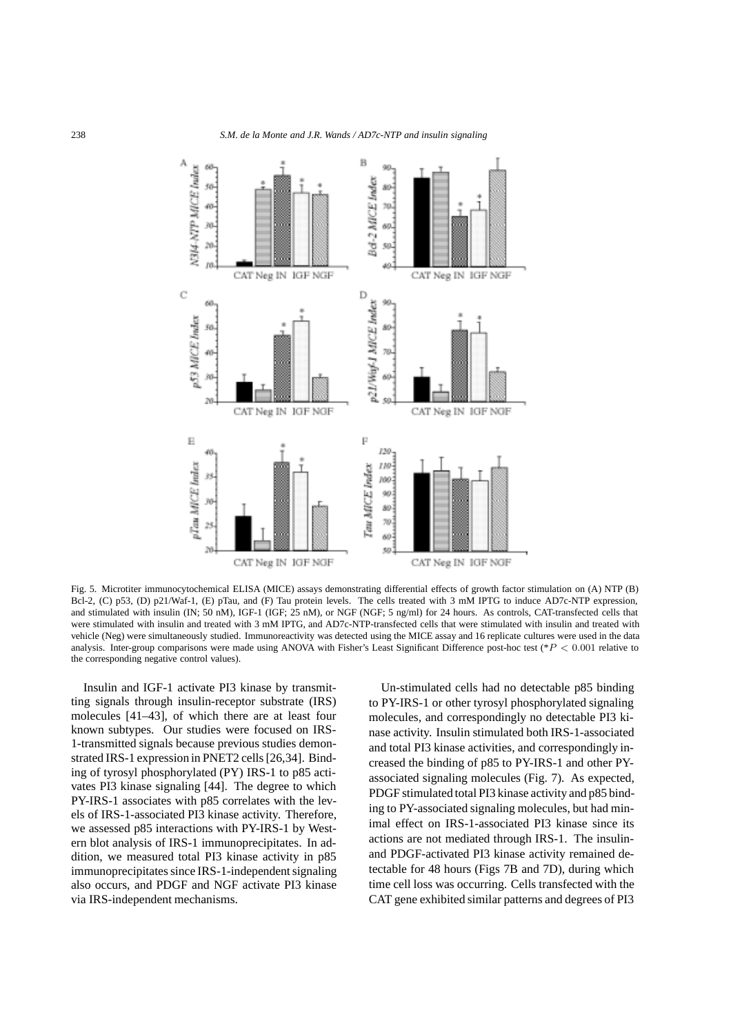

Fig. 5. Microtiter immunocytochemical ELISA (MICE) assays demonstrating differential effects of growth factor stimulation on (A) NTP (B) Bcl-2, (C) p53, (D) p21/Waf-1, (E) pTau, and (F) Tau protein levels. The cells treated with 3 mM IPTG to induce AD7c-NTP expression, and stimulated with insulin (IN; 50 nM), IGF-1 (IGF; 25 nM), or NGF (NGF; 5 ng/ml) for 24 hours. As controls, CAT-transfected cells that were stimulated with insulin and treated with 3 mM IPTG, and AD7c-NTP-transfected cells that were stimulated with insulin and treated with vehicle (Neg) were simultaneously studied. Immunoreactivity was detected using the MICE assay and 16 replicate cultures were used in the data analysis. Inter-group comparisons were made using ANOVA with Fisher's Least Significant Difference post-hoc test (\**P <* 0*.*001 relative to the corresponding negative control values).

Insulin and IGF-1 activate PI3 kinase by transmitting signals through insulin-receptor substrate (IRS) molecules [41–43], of which there are at least four known subtypes. Our studies were focused on IRS-1-transmitted signals because previous studies demonstrated IRS-1 expression in PNET2 cells [26,34]. Binding of tyrosyl phosphorylated (PY) IRS-1 to p85 activates PI3 kinase signaling [44]. The degree to which PY-IRS-1 associates with p85 correlates with the levels of IRS-1-associated PI3 kinase activity. Therefore, we assessed p85 interactions with PY-IRS-1 by Western blot analysis of IRS-1 immunoprecipitates. In addition, we measured total PI3 kinase activity in p85 immunoprecipitates since IRS-1-independent signaling also occurs, and PDGF and NGF activate PI3 kinase via IRS-independent mechanisms.

Un-stimulated cells had no detectable p85 binding to PY-IRS-1 or other tyrosyl phosphorylated signaling molecules, and correspondingly no detectable PI3 kinase activity. Insulin stimulated both IRS-1-associated and total PI3 kinase activities, and correspondingly increased the binding of p85 to PY-IRS-1 and other PYassociated signaling molecules (Fig. 7). As expected, PDGF stimulated total PI3 kinase activity and p85 binding to PY-associated signaling molecules, but had minimal effect on IRS-1-associated PI3 kinase since its actions are not mediated through IRS-1. The insulinand PDGF-activated PI3 kinase activity remained detectable for 48 hours (Figs 7B and 7D), during which time cell loss was occurring. Cells transfected with the CAT gene exhibited similar patterns and degrees of PI3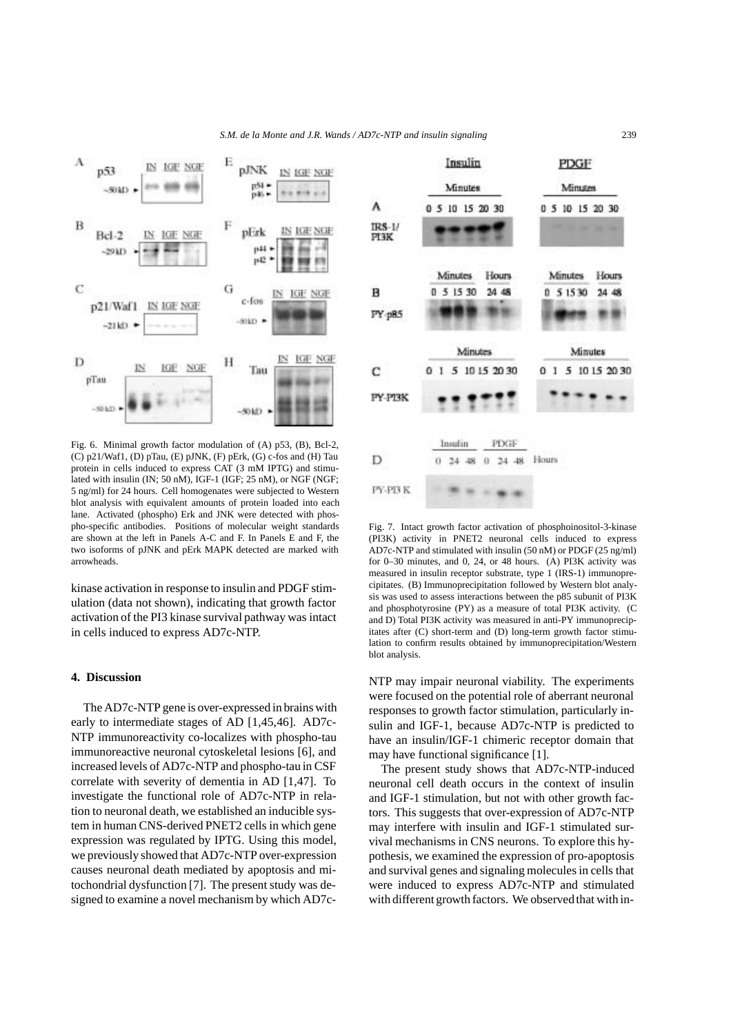#### *S.M. de la Monte and J.R. Wands / AD7c-NTP and insulin signaling* 239



Fig. 6. Minimal growth factor modulation of (A) p53, (B), Bcl-2, (C) p21/Waf1, (D) pTau, (E) pJNK, (F) pErk, (G) c-fos and (H) Tau protein in cells induced to express CAT (3 mM IPTG) and stimulated with insulin (IN; 50 nM), IGF-1 (IGF; 25 nM), or NGF (NGF; 5 ng/ml) for 24 hours. Cell homogenates were subjected to Western blot analysis with equivalent amounts of protein loaded into each lane. Activated (phospho) Erk and JNK were detected with phospho-specific antibodies. Positions of molecular weight standards are shown at the left in Panels A-C and F. In Panels E and F, the two isoforms of pJNK and pErk MAPK detected are marked with arrowheads.

kinase activation in response to insulin and PDGF stimulation (data not shown), indicating that growth factor activation of the PI3 kinase survival pathway was intact in cells induced to express AD7c-NTP.

#### **4. Discussion**

The AD7c-NTP gene is over-expressed in brains with early to intermediate stages of AD [1,45,46]. AD7c-NTP immunoreactivity co-localizes with phospho-tau immunoreactive neuronal cytoskeletal lesions [6], and increased levels of AD7c-NTP and phospho-tau in CSF correlate with severity of dementia in AD [1,47]. To investigate the functional role of AD7c-NTP in relation to neuronal death, we established an inducible system in human CNS-derived PNET2 cells in which gene expression was regulated by IPTG. Using this model, we previously showed that AD7c-NTP over-expression causes neuronal death mediated by apoptosis and mitochondrial dysfunction [7]. The present study was designed to examine a novel mechanism by which AD7c-



Fig. 7. Intact growth factor activation of phosphoinositol-3-kinase (PI3K) activity in PNET2 neuronal cells induced to express AD7c-NTP and stimulated with insulin (50 nM) or PDGF (25 ng/ml) for 0–30 minutes, and 0, 24, or 48 hours. (A) PI3K activity was measured in insulin receptor substrate, type 1 (IRS-1) immunoprecipitates. (B) Immunoprecipitation followed by Western blot analysis was used to assess interactions between the p85 subunit of PI3K and phosphotyrosine (PY) as a measure of total PI3K activity. (C and D) Total PI3K activity was measured in anti-PY immunoprecipitates after (C) short-term and (D) long-term growth factor stimulation to confirm results obtained by immunoprecipitation/Western blot analysis.

NTP may impair neuronal viability. The experiments were focused on the potential role of aberrant neuronal responses to growth factor stimulation, particularly insulin and IGF-1, because AD7c-NTP is predicted to have an insulin/IGF-1 chimeric receptor domain that may have functional significance [1].

The present study shows that AD7c-NTP-induced neuronal cell death occurs in the context of insulin and IGF-1 stimulation, but not with other growth factors. This suggests that over-expression of AD7c-NTP may interfere with insulin and IGF-1 stimulated survival mechanisms in CNS neurons. To explore this hypothesis, we examined the expression of pro-apoptosis and survival genes and signaling molecules in cells that were induced to express AD7c-NTP and stimulated with different growth factors. We observed that with in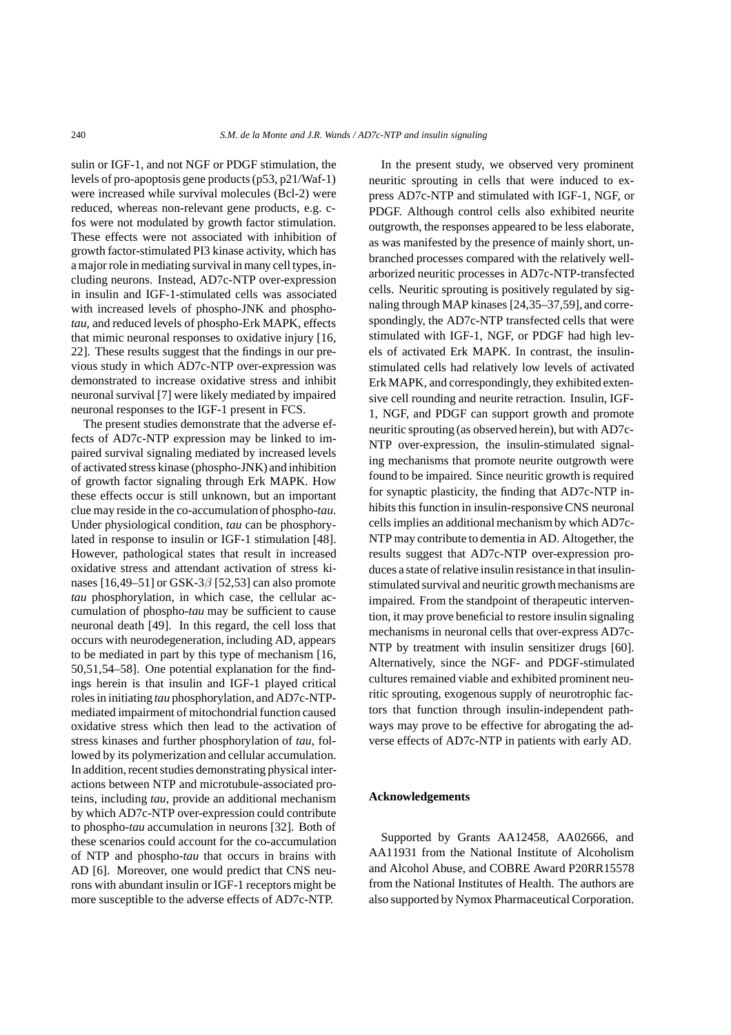sulin or IGF-1, and not NGF or PDGF stimulation, the levels of pro-apoptosis gene products (p53, p21/Waf-1) were increased while survival molecules (Bcl-2) were reduced, whereas non-relevant gene products, e.g. cfos were not modulated by growth factor stimulation. These effects were not associated with inhibition of growth factor-stimulated PI3 kinase activity, which has a major role in mediating survival in many cell types,including neurons. Instead, AD7c-NTP over-expression in insulin and IGF-1-stimulated cells was associated with increased levels of phospho-JNK and phospho*tau*, and reduced levels of phospho-Erk MAPK, effects that mimic neuronal responses to oxidative injury [16, 22]. These results suggest that the findings in our previous study in which AD7c-NTP over-expression was demonstrated to increase oxidative stress and inhibit neuronal survival [7] were likely mediated by impaired neuronal responses to the IGF-1 present in FCS.

The present studies demonstrate that the adverse effects of AD7c-NTP expression may be linked to impaired survival signaling mediated by increased levels of activated stress kinase (phospho-JNK) and inhibition of growth factor signaling through Erk MAPK. How these effects occur is still unknown, but an important clue may reside in the co-accumulation of phospho-*tau*. Under physiological condition, *tau* can be phosphorylated in response to insulin or IGF-1 stimulation [48]. However, pathological states that result in increased oxidative stress and attendant activation of stress kinases  $[16,49-51]$  or GSK-3 $\beta$  [52,53] can also promote *tau* phosphorylation, in which case, the cellular accumulation of phospho-*tau* may be sufficient to cause neuronal death [49]. In this regard, the cell loss that occurs with neurodegeneration, including AD, appears to be mediated in part by this type of mechanism [16, 50,51,54–58]. One potential explanation for the findings herein is that insulin and IGF-1 played critical roles in initiating *tau* phosphorylation, and AD7c-NTPmediated impairment of mitochondrial function caused oxidative stress which then lead to the activation of stress kinases and further phosphorylation of *tau*, followed by its polymerization and cellular accumulation. In addition, recent studies demonstrating physical interactions between NTP and microtubule-associated proteins, including *tau*, provide an additional mechanism by which AD7c-NTP over-expression could contribute to phospho-*tau* accumulation in neurons [32]. Both of these scenarios could account for the co-accumulation of NTP and phospho-*tau* that occurs in brains with AD [6]. Moreover, one would predict that CNS neurons with abundant insulin or IGF-1 receptors might be more susceptible to the adverse effects of AD7c-NTP.

In the present study, we observed very prominent neuritic sprouting in cells that were induced to express AD7c-NTP and stimulated with IGF-1, NGF, or PDGF. Although control cells also exhibited neurite outgrowth, the responses appeared to be less elaborate, as was manifested by the presence of mainly short, unbranched processes compared with the relatively wellarborized neuritic processes in AD7c-NTP-transfected cells. Neuritic sprouting is positively regulated by signaling through MAP kinases [24,35–37,59], and correspondingly, the AD7c-NTP transfected cells that were stimulated with IGF-1, NGF, or PDGF had high levels of activated Erk MAPK. In contrast, the insulinstimulated cells had relatively low levels of activated Erk MAPK, and correspondingly, they exhibited extensive cell rounding and neurite retraction. Insulin, IGF-1, NGF, and PDGF can support growth and promote neuritic sprouting (as observed herein), but with AD7c-NTP over-expression, the insulin-stimulated signaling mechanisms that promote neurite outgrowth were found to be impaired. Since neuritic growth is required for synaptic plasticity, the finding that AD7c-NTP inhibits this function in insulin-responsive CNS neuronal cells implies an additional mechanism by which AD7c-NTP may contribute to dementia in AD. Altogether, the results suggest that AD7c-NTP over-expression produces a state of relative insulin resistance in that insulinstimulated survival and neuritic growth mechanisms are impaired. From the standpoint of therapeutic intervention, it may prove beneficial to restore insulin signaling mechanisms in neuronal cells that over-express AD7c-NTP by treatment with insulin sensitizer drugs [60]. Alternatively, since the NGF- and PDGF-stimulated cultures remained viable and exhibited prominent neuritic sprouting, exogenous supply of neurotrophic factors that function through insulin-independent pathways may prove to be effective for abrogating the adverse effects of AD7c-NTP in patients with early AD.

#### **Acknowledgements**

Supported by Grants AA12458, AA02666, and AA11931 from the National Institute of Alcoholism and Alcohol Abuse, and COBRE Award P20RR15578 from the National Institutes of Health. The authors are also supported by Nymox Pharmaceutical Corporation.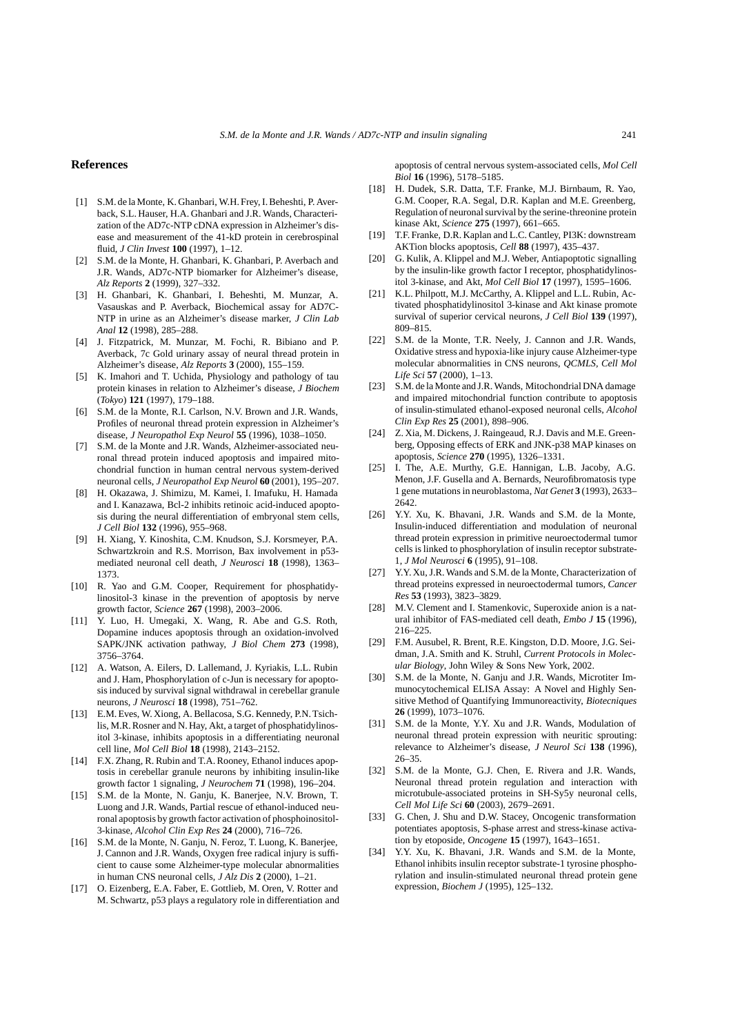#### **References**

- [1] S.M. de la Monte, K. Ghanbari, W.H. Frey, I. Beheshti, P. Averback, S.L. Hauser, H.A. Ghanbari and J.R. Wands, Characterization of the AD7c-NTP cDNA expression in Alzheimer's disease and measurement of the 41-kD protein in cerebrospinal fluid, *J Clin Invest* **100** (1997), 1–12.
- [2] S.M. de la Monte, H. Ghanbari, K. Ghanbari, P. Averbach and J.R. Wands, AD7c-NTP biomarker for Alzheimer's disease, *Alz Reports* **2** (1999), 327–332.
- [3] H. Ghanbari, K. Ghanbari, I. Beheshti, M. Munzar, A. Vasauskas and P. Averback, Biochemical assay for AD7C-NTP in urine as an Alzheimer's disease marker, *J Clin Lab Anal* **12** (1998), 285–288.
- [4] J. Fitzpatrick, M. Munzar, M. Fochi, R. Bibiano and P. Averback, 7c Gold urinary assay of neural thread protein in Alzheimer's disease, *Alz Reports* **3** (2000), 155–159.
- [5] K. Imahori and T. Uchida, Physiology and pathology of tau protein kinases in relation to Alzheimer's disease, *J Biochem* (*Tokyo*) **121** (1997), 179–188.
- [6] S.M. de la Monte, R.I. Carlson, N.V. Brown and J.R. Wands, Profiles of neuronal thread protein expression in Alzheimer's disease, *J Neuropathol Exp Neurol* **55** (1996), 1038–1050.
- [7] S.M. de la Monte and J.R. Wands, Alzheimer-associated neuronal thread protein induced apoptosis and impaired mitochondrial function in human central nervous system-derived neuronal cells, *J Neuropathol Exp Neurol* **60** (2001), 195–207.
- [8] H. Okazawa, J. Shimizu, M. Kamei, I. Imafuku, H. Hamada and I. Kanazawa, Bcl-2 inhibits retinoic acid-induced apoptosis during the neural differentiation of embryonal stem cells, *J Cell Biol* **132** (1996), 955–968.
- [9] H. Xiang, Y. Kinoshita, C.M. Knudson, S.J. Korsmeyer, P.A. Schwartzkroin and R.S. Morrison, Bax involvement in p53 mediated neuronal cell death, *J Neurosci* **18** (1998), 1363– 1373.
- [10] R. Yao and G.M. Cooper, Requirement for phosphatidylinositol-3 kinase in the prevention of apoptosis by nerve growth factor, *Science* **267** (1998), 2003–2006.
- [11] Y. Luo, H. Umegaki, X. Wang, R. Abe and G.S. Roth, Dopamine induces apoptosis through an oxidation-involved SAPK/JNK activation pathway, *J Biol Chem* **273** (1998), 3756–3764.
- [12] A. Watson, A. Eilers, D. Lallemand, J. Kyriakis, L.L. Rubin and J. Ham, Phosphorylation of c-Jun is necessary for apoptosis induced by survival signal withdrawal in cerebellar granule neurons, *J Neurosci* **18** (1998), 751–762.
- [13] E.M. Eves, W. Xiong, A. Bellacosa, S.G. Kennedy, P.N. Tsichlis, M.R. Rosner and N. Hay, Akt, a target of phosphatidylinositol 3-kinase, inhibits apoptosis in a differentiating neuronal cell line, *Mol Cell Biol* **18** (1998), 2143–2152.
- [14] F.X. Zhang, R. Rubin and T.A. Rooney, Ethanol induces apoptosis in cerebellar granule neurons by inhibiting insulin-like growth factor 1 signaling, *J Neurochem* **71** (1998), 196–204.
- [15] S.M. de la Monte, N. Ganju, K. Banerjee, N.V. Brown, T. Luong and J.R. Wands, Partial rescue of ethanol-induced neuronal apoptosis by growth factor activation of phosphoinositol-3-kinase, *Alcohol Clin Exp Res* **24** (2000), 716–726.
- [16] S.M. de la Monte, N. Ganju, N. Feroz, T. Luong, K. Banerjee, J. Cannon and J.R. Wands, Oxygen free radical injury is sufficient to cause some Alzheimer-type molecular abnormalities in human CNS neuronal cells, *J Alz Dis* **2** (2000), 1–21.
- [17] O. Eizenberg, E.A. Faber, E. Gottlieb, M. Oren, V. Rotter and M. Schwartz, p53 plays a regulatory role in differentiation and

apoptosis of central nervous system-associated cells, *Mol Cell Biol* **16** (1996), 5178–5185.

- [18] H. Dudek, S.R. Datta, T.F. Franke, M.J. Birnbaum, R. Yao, G.M. Cooper, R.A. Segal, D.R. Kaplan and M.E. Greenberg, Regulation of neuronal survival by the serine-threonine protein kinase Akt, *Science* **275** (1997), 661–665.
- [19] T.F. Franke, D.R. Kaplan and L.C. Cantley, PI3K: downstream AKTion blocks apoptosis, *Cell* **88** (1997), 435–437.
- [20] G. Kulik, A. Klippel and M.J. Weber, Antiapoptotic signalling by the insulin-like growth factor I receptor, phosphatidylinositol 3-kinase, and Akt, *Mol Cell Biol* **17** (1997), 1595–1606.
- [21] K.L. Philpott, M.J. McCarthy, A. Klippel and L.L. Rubin, Activated phosphatidylinositol 3-kinase and Akt kinase promote survival of superior cervical neurons, *J Cell Biol* **139** (1997), 809–815.
- [22] S.M. de la Monte, T.R. Neely, J. Cannon and J.R. Wands, Oxidative stress and hypoxia-like injury cause Alzheimer-type molecular abnormalities in CNS neurons, *QCMLS, Cell Mol Life Sci* **57** (2000), 1–13.
- [23] S.M. de la Monte and J.R. Wands, Mitochondrial DNA damage and impaired mitochondrial function contribute to apoptosis of insulin-stimulated ethanol-exposed neuronal cells, *Alcohol Clin Exp Res* **25** (2001), 898–906.
- [24] Z. Xia, M. Dickens, J. Raingeaud, R.J. Davis and M.E. Greenberg, Opposing effects of ERK and JNK-p38 MAP kinases on apoptosis, *Science* **270** (1995), 1326–1331.
- [25] I. The, A.E. Murthy, G.E. Hannigan, L.B. Jacoby, A.G. Menon, J.F. Gusella and A. Bernards, Neurofibromatosis type 1 gene mutations in neuroblastoma, *Nat Genet* **3** (1993), 2633– 2642.
- [26] Y.Y. Xu, K. Bhavani, J.R. Wands and S.M. de la Monte, Insulin-induced differentiation and modulation of neuronal thread protein expression in primitive neuroectodermal tumor cells is linked to phosphorylation of insulin receptor substrate-1, *J Mol Neurosci* **6** (1995), 91–108.
- [27] Y.Y. Xu, J.R. Wands and S.M. de la Monte, Characterization of thread proteins expressed in neuroectodermal tumors, *Cancer Res* **53** (1993), 3823–3829.
- [28] M.V. Clement and I. Stamenkovic, Superoxide anion is a natural inhibitor of FAS-mediated cell death, *Embo J* **15** (1996), 216–225.
- [29] F.M. Ausubel, R. Brent, R.E. Kingston, D.D. Moore, J.G. Seidman, J.A. Smith and K. Struhl, *Current Protocols in Molecular Biology*, John Wiley & Sons New York, 2002.
- [30] S.M. de la Monte, N. Ganju and J.R. Wands, Microtiter Immunocytochemical ELISA Assay: A Novel and Highly Sensitive Method of Quantifying Immunoreactivity, *Biotecniques* **26** (1999), 1073–1076.
- [31] S.M. de la Monte, Y.Y. Xu and J.R. Wands, Modulation of neuronal thread protein expression with neuritic sprouting: relevance to Alzheimer's disease, *J Neurol Sci* **138** (1996), 26–35.
- [32] S.M. de la Monte, G.J. Chen, E. Rivera and J.R. Wands, Neuronal thread protein regulation and interaction with microtubule-associated proteins in SH-Sy5y neuronal cells, *Cell Mol Life Sci* **60** (2003), 2679–2691.
- [33] G. Chen, J. Shu and D.W. Stacey, Oncogenic transformation potentiates apoptosis, S-phase arrest and stress-kinase activation by etoposide, *Oncogene* **15** (1997), 1643–1651.
- [34] Y.Y. Xu, K. Bhavani, J.R. Wands and S.M. de la Monte, Ethanol inhibits insulin receptor substrate-1 tyrosine phosphorylation and insulin-stimulated neuronal thread protein gene expression, *Biochem J* (1995), 125–132.